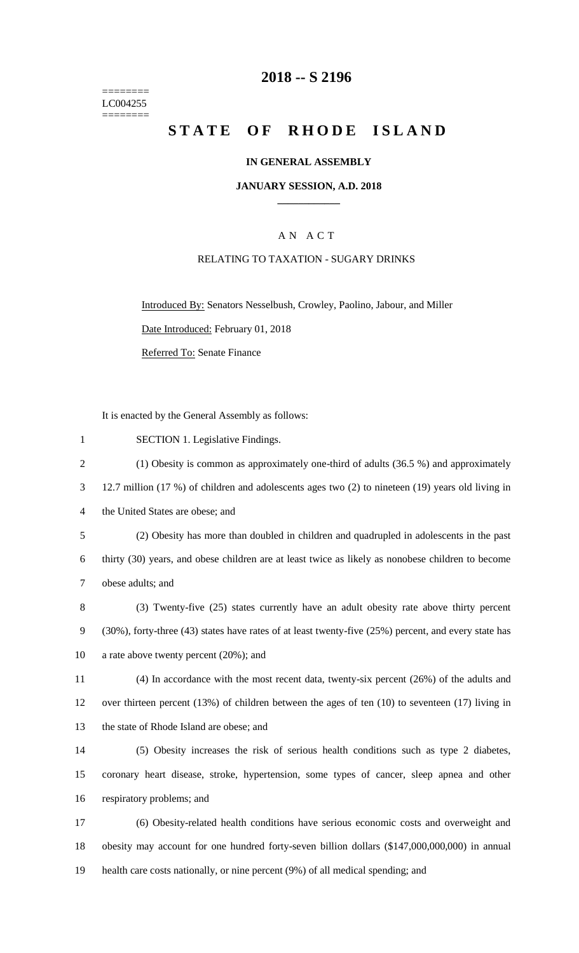======== LC004255 ========

### **-- S 2196**

# **STATE OF RHODE ISLAND**

#### **IN GENERAL ASSEMBLY**

#### **JANUARY SESSION, A.D. 2018 \_\_\_\_\_\_\_\_\_\_\_\_**

### A N A C T

#### RELATING TO TAXATION - SUGARY DRINKS

Introduced By: Senators Nesselbush, Crowley, Paolino, Jabour, and Miller

Date Introduced: February 01, 2018

Referred To: Senate Finance

It is enacted by the General Assembly as follows:

- SECTION 1. Legislative Findings.
- (1) Obesity is common as approximately one-third of adults (36.5 %) and approximately
- 12.7 million (17 %) of children and adolescents ages two (2) to nineteen (19) years old living in
- the United States are obese; and
- (2) Obesity has more than doubled in children and quadrupled in adolescents in the past thirty (30) years, and obese children are at least twice as likely as nonobese children to become obese adults; and
- (3) Twenty-five (25) states currently have an adult obesity rate above thirty percent (30%), forty-three (43) states have rates of at least twenty-five (25%) percent, and every state has a rate above twenty percent (20%); and
- (4) In accordance with the most recent data, twenty-six percent (26%) of the adults and over thirteen percent (13%) of children between the ages of ten (10) to seventeen (17) living in the state of Rhode Island are obese; and
- (5) Obesity increases the risk of serious health conditions such as type 2 diabetes, coronary heart disease, stroke, hypertension, some types of cancer, sleep apnea and other respiratory problems; and

 (6) Obesity-related health conditions have serious economic costs and overweight and obesity may account for one hundred forty-seven billion dollars (\$147,000,000,000) in annual health care costs nationally, or nine percent (9%) of all medical spending; and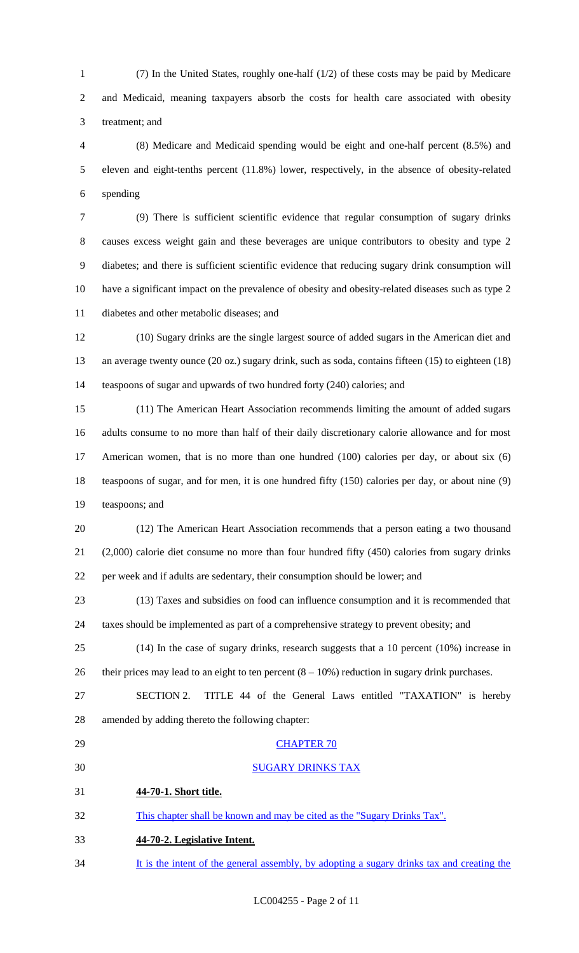(7) In the United States, roughly one-half (1/2) of these costs may be paid by Medicare and Medicaid, meaning taxpayers absorb the costs for health care associated with obesity treatment; and

 (8) Medicare and Medicaid spending would be eight and one-half percent (8.5%) and eleven and eight-tenths percent (11.8%) lower, respectively, in the absence of obesity-related spending

 (9) There is sufficient scientific evidence that regular consumption of sugary drinks causes excess weight gain and these beverages are unique contributors to obesity and type 2 diabetes; and there is sufficient scientific evidence that reducing sugary drink consumption will have a significant impact on the prevalence of obesity and obesity-related diseases such as type 2 diabetes and other metabolic diseases; and

 (10) Sugary drinks are the single largest source of added sugars in the American diet and an average twenty ounce (20 oz.) sugary drink, such as soda, contains fifteen (15) to eighteen (18) teaspoons of sugar and upwards of two hundred forty (240) calories; and

 (11) The American Heart Association recommends limiting the amount of added sugars adults consume to no more than half of their daily discretionary calorie allowance and for most American women, that is no more than one hundred (100) calories per day, or about six (6) teaspoons of sugar, and for men, it is one hundred fifty (150) calories per day, or about nine (9) teaspoons; and

 (12) The American Heart Association recommends that a person eating a two thousand (2,000) calorie diet consume no more than four hundred fifty (450) calories from sugary drinks per week and if adults are sedentary, their consumption should be lower; and

 (13) Taxes and subsidies on food can influence consumption and it is recommended that taxes should be implemented as part of a comprehensive strategy to prevent obesity; and

 (14) In the case of sugary drinks, research suggests that a 10 percent (10%) increase in 26 their prices may lead to an eight to ten percent  $(8 - 10\%)$  reduction in sugary drink purchases.

 SECTION 2. TITLE 44 of the General Laws entitled "TAXATION" is hereby amended by adding thereto the following chapter:

- 29 CHAPTER 70 SUGARY DRINKS TAX **44-70-1. Short title.** This chapter shall be known and may be cited as the "Sugary Drinks Tax". **44-70-2. Legislative Intent.**
- It is the intent of the general assembly, by adopting a sugary drinks tax and creating the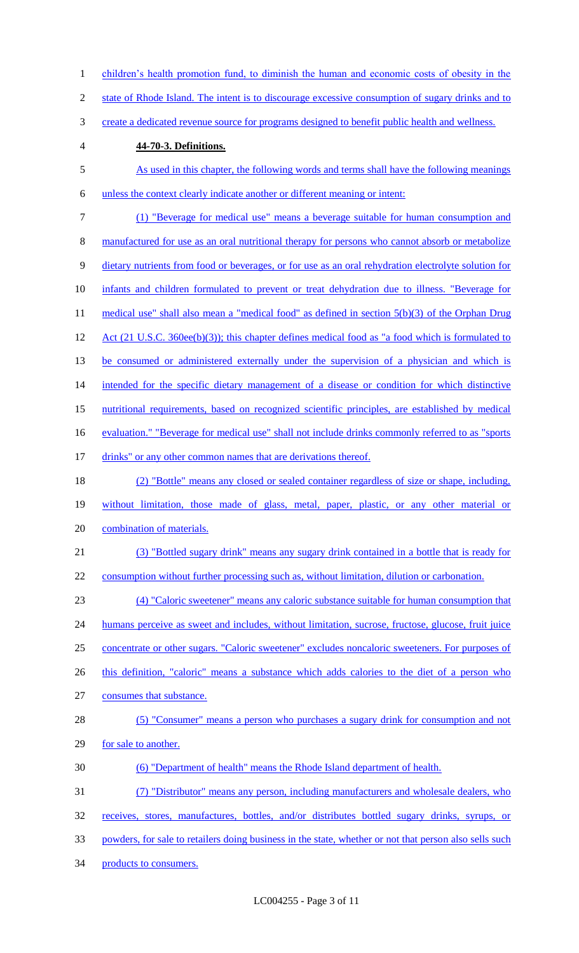1 children's health promotion fund, to diminish the human and economic costs of obesity in the 2 state of Rhode Island. The intent is to discourage excessive consumption of sugary drinks and to 3 create a dedicated revenue source for programs designed to benefit public health and wellness. 4 **44-70-3. Definitions.** 5 As used in this chapter, the following words and terms shall have the following meanings 6 unless the context clearly indicate another or different meaning or intent: 7 (1) "Beverage for medical use" means a beverage suitable for human consumption and 8 manufactured for use as an oral nutritional therapy for persons who cannot absorb or metabolize 9 dietary nutrients from food or beverages, or for use as an oral rehydration electrolyte solution for 10 infants and children formulated to prevent or treat dehydration due to illness. "Beverage for 11 medical use" shall also mean a "medical food" as defined in section 5(b)(3) of the Orphan Drug 12 Act (21 U.S.C. 360ee(b)(3)); this chapter defines medical food as "a food which is formulated to 13 be consumed or administered externally under the supervision of a physician and which is 14 intended for the specific dietary management of a disease or condition for which distinctive 15 nutritional requirements, based on recognized scientific principles, are established by medical 16 evaluation." "Beverage for medical use" shall not include drinks commonly referred to as "sports" 17 drinks" or any other common names that are derivations thereof. 18 (2) "Bottle" means any closed or sealed container regardless of size or shape, including, 19 without limitation, those made of glass, metal, paper, plastic, or any other material or 20 combination of materials. 21 (3) "Bottled sugary drink" means any sugary drink contained in a bottle that is ready for 22 consumption without further processing such as, without limitation, dilution or carbonation. 23 (4) "Caloric sweetener" means any caloric substance suitable for human consumption that 24 humans perceive as sweet and includes, without limitation, sucrose, fructose, glucose, fruit juice 25 concentrate or other sugars. "Caloric sweetener" excludes noncaloric sweeteners. For purposes of 26 this definition, "caloric" means a substance which adds calories to the diet of a person who 27 consumes that substance. 28 (5) "Consumer" means a person who purchases a sugary drink for consumption and not 29 for sale to another. 30 (6) "Department of health" means the Rhode Island department of health. 31 (7) "Distributor" means any person, including manufacturers and wholesale dealers, who 32 receives, stores, manufactures, bottles, and/or distributes bottled sugary drinks, syrups, or 33 powders, for sale to retailers doing business in the state, whether or not that person also sells such 34 products to consumers.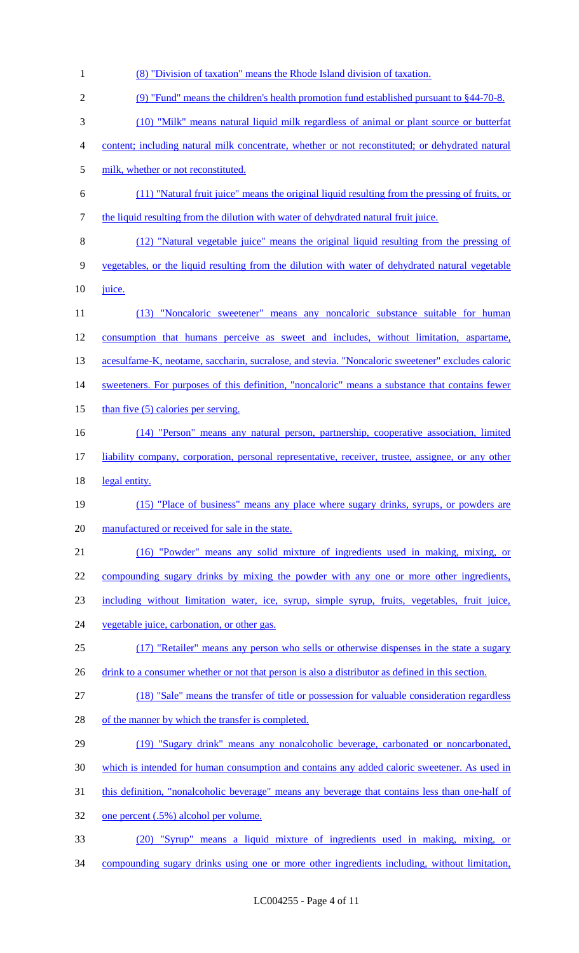| $\mathbf{1}$   | (8) "Division of taxation" means the Rhode Island division of taxation.                            |
|----------------|----------------------------------------------------------------------------------------------------|
| $\overline{2}$ | (9) "Fund" means the children's health promotion fund established pursuant to §44-70-8.            |
| 3              | (10) "Milk" means natural liquid milk regardless of animal or plant source or butterfat            |
| 4              | content; including natural milk concentrate, whether or not reconstituted; or dehydrated natural   |
| 5              | milk, whether or not reconstituted.                                                                |
| 6              | (11) "Natural fruit juice" means the original liquid resulting from the pressing of fruits, or     |
| $\tau$         | the liquid resulting from the dilution with water of dehydrated natural fruit juice.               |
| 8              | (12) "Natural vegetable juice" means the original liquid resulting from the pressing of            |
| 9              | vegetables, or the liquid resulting from the dilution with water of dehydrated natural vegetable   |
| 10             | juice.                                                                                             |
| 11             | (13) "Noncaloric sweetener" means any noncaloric substance suitable for human                      |
| 12             | consumption that humans perceive as sweet and includes, without limitation, aspartame,             |
| 13             | acesulfame-K, neotame, saccharin, sucralose, and stevia. "Noncaloric sweetener" excludes caloric   |
| 14             | sweeteners. For purposes of this definition, "noncaloric" means a substance that contains fewer    |
| 15             | than five $(5)$ calories per serving.                                                              |
| 16             | (14) "Person" means any natural person, partnership, cooperative association, limited              |
| 17             | liability company, corporation, personal representative, receiver, trustee, assignee, or any other |
| 18             | legal entity.                                                                                      |
| 19             | (15) "Place of business" means any place where sugary drinks, syrups, or powders are               |
| 20             | manufactured or received for sale in the state.                                                    |
| 21             | (16) "Powder" means any solid mixture of ingredients used in making, mixing, or                    |
| 22             | compounding sugary drinks by mixing the powder with any one or more other ingredients,             |
| 23             | including without limitation water, ice, syrup, simple syrup, fruits, vegetables, fruit juice,     |
| 24             | vegetable juice, carbonation, or other gas.                                                        |
| 25             | (17) "Retailer" means any person who sells or otherwise dispenses in the state a sugary            |
| 26             | drink to a consumer whether or not that person is also a distributor as defined in this section.   |
| 27             | (18) "Sale" means the transfer of title or possession for valuable consideration regardless        |
| 28             | of the manner by which the transfer is completed.                                                  |
| 29             | (19) "Sugary drink" means any nonalcoholic beverage, carbonated or noncarbonated,                  |
| 30             | which is intended for human consumption and contains any added caloric sweetener. As used in       |
| 31             | this definition, "nonalcoholic beverage" means any beverage that contains less than one-half of    |
| 32             | one percent (.5%) alcohol per volume.                                                              |
| 33             | (20) "Syrup" means a liquid mixture of ingredients used in making, mixing, or                      |
| 34             | compounding sugary drinks using one or more other ingredients including, without limitation,       |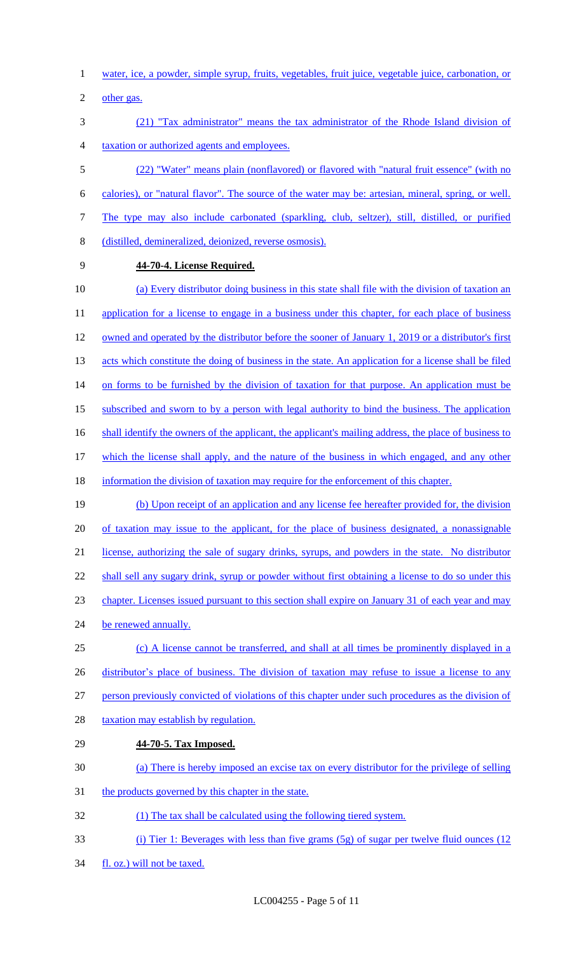- 1 water, ice, a powder, simple syrup, fruits, vegetables, fruit juice, vegetable juice, carbonation, or
- 2 other gas.
- 3 (21) "Tax administrator" means the tax administrator of the Rhode Island division of 4 taxation or authorized agents and employees.

 (22) "Water" means plain (nonflavored) or flavored with "natural fruit essence" (with no calories), or "natural flavor". The source of the water may be: artesian, mineral, spring, or well. The type may also include carbonated (sparkling, club, seltzer), still, distilled, or purified (distilled, demineralized, deionized, reverse osmosis).

#### 9 **44-70-4. License Required.**

34 fl. oz.) will not be taxed.

10 (a) Every distributor doing business in this state shall file with the division of taxation an 11 application for a license to engage in a business under this chapter, for each place of business 12 owned and operated by the distributor before the sooner of January 1, 2019 or a distributor's first 13 acts which constitute the doing of business in the state. An application for a license shall be filed 14 on forms to be furnished by the division of taxation for that purpose. An application must be 15 subscribed and sworn to by a person with legal authority to bind the business. The application 16 shall identify the owners of the applicant, the applicant's mailing address, the place of business to 17 which the license shall apply, and the nature of the business in which engaged, and any other 18 information the division of taxation may require for the enforcement of this chapter. 19 (b) Upon receipt of an application and any license fee hereafter provided for, the division 20 of taxation may issue to the applicant, for the place of business designated, a nonassignable 21 license, authorizing the sale of sugary drinks, syrups, and powders in the state. No distributor 22 shall sell any sugary drink, syrup or powder without first obtaining a license to do so under this 23 chapter. Licenses issued pursuant to this section shall expire on January 31 of each year and may 24 be renewed annually. 25 (c) A license cannot be transferred, and shall at all times be prominently displayed in a 26 distributor's place of business. The division of taxation may refuse to issue a license to any 27 person previously convicted of violations of this chapter under such procedures as the division of 28 taxation may establish by regulation. 29 **44-70-5. Tax Imposed.** 30 (a) There is hereby imposed an excise tax on every distributor for the privilege of selling 31 the products governed by this chapter in the state. 32 (1) The tax shall be calculated using the following tiered system. 33 (i) Tier 1: Beverages with less than five grams (5g) of sugar per twelve fluid ounces (12

LC004255 - Page 5 of 11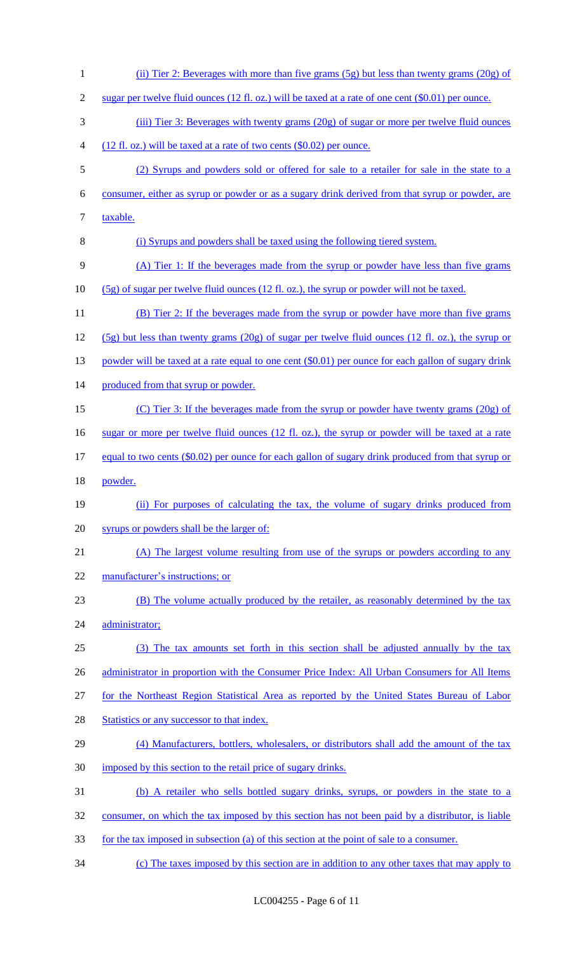(ii) Tier 2: Beverages with more than five grams (5g) but less than twenty grams (20g) of sugar per twelve fluid ounces (12 fl. oz.) will be taxed at a rate of one cent (\$0.01) per ounce. 3 (iii) Tier 3: Beverages with twenty grams (20g) of sugar or more per twelve fluid ounces (12 fl. oz.) will be taxed at a rate of two cents (\$0.02) per ounce. (2) Syrups and powders sold or offered for sale to a retailer for sale in the state to a consumer, either as syrup or powder or as a sugary drink derived from that syrup or powder, are 7 taxable. (i) Syrups and powders shall be taxed using the following tiered system. (A) Tier 1: If the beverages made from the syrup or powder have less than five grams (5g) of sugar per twelve fluid ounces (12 fl. oz.), the syrup or powder will not be taxed. 11 (B) Tier 2: If the beverages made from the syrup or powder have more than five grams (5g) but less than twenty grams (20g) of sugar per twelve fluid ounces (12 fl. oz.), the syrup or 13 powder will be taxed at a rate equal to one cent (\$0.01) per ounce for each gallon of sugary drink 14 produced from that syrup or powder. (C) Tier 3: If the beverages made from the syrup or powder have twenty grams (20g) of 16 sugar or more per twelve fluid ounces (12 fl. oz.), the syrup or powder will be taxed at a rate 17 equal to two cents (\$0.02) per ounce for each gallon of sugary drink produced from that syrup or 18 powder. (ii) For purposes of calculating the tax, the volume of sugary drinks produced from syrups or powders shall be the larger of: (A) The largest volume resulting from use of the syrups or powders according to any manufacturer's instructions; or (B) The volume actually produced by the retailer, as reasonably determined by the tax 24 administrator; (3) The tax amounts set forth in this section shall be adjusted annually by the tax 26 administrator in proportion with the Consumer Price Index: All Urban Consumers for All Items for the Northeast Region Statistical Area as reported by the United States Bureau of Labor 28 Statistics or any successor to that index. (4) Manufacturers, bottlers, wholesalers, or distributors shall add the amount of the tax 30 imposed by this section to the retail price of sugary drinks. (b) A retailer who sells bottled sugary drinks, syrups, or powders in the state to a consumer, on which the tax imposed by this section has not been paid by a distributor, is liable for the tax imposed in subsection (a) of this section at the point of sale to a consumer. (c) The taxes imposed by this section are in addition to any other taxes that may apply to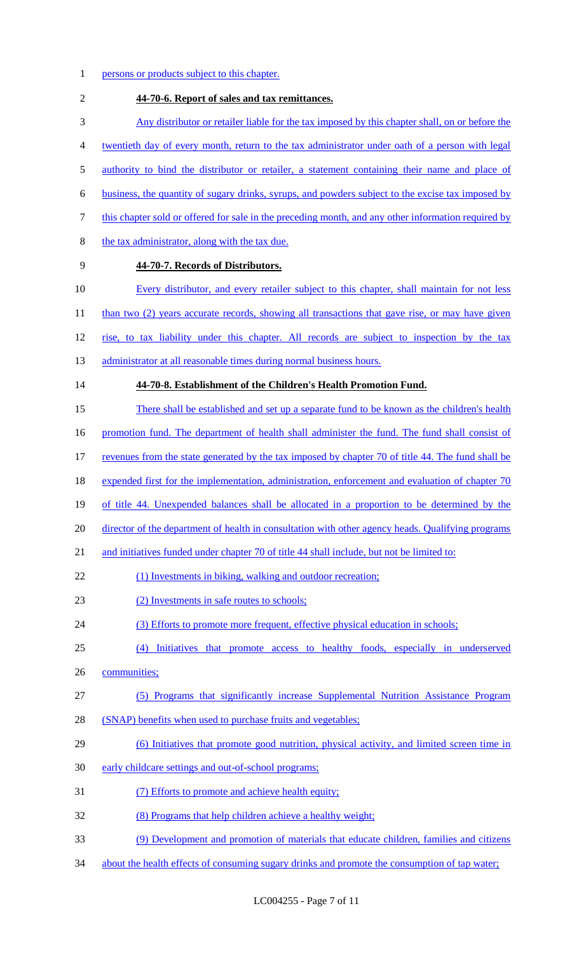- 1 persons or products subject to this chapter.
- 2 **44-70-6. Report of sales and tax remittances.** 3 Any distributor or retailer liable for the tax imposed by this chapter shall, on or before the 4 twentieth day of every month, return to the tax administrator under oath of a person with legal 5 authority to bind the distributor or retailer, a statement containing their name and place of 6 business, the quantity of sugary drinks, syrups, and powders subject to the excise tax imposed by 7 this chapter sold or offered for sale in the preceding month, and any other information required by 8 the tax administrator, along with the tax due. 9 **44-70-7. Records of Distributors.** 10 Every distributor, and every retailer subject to this chapter, shall maintain for not less 11 than two (2) years accurate records, showing all transactions that gave rise, or may have given 12 rise, to tax liability under this chapter. All records are subject to inspection by the tax 13 administrator at all reasonable times during normal business hours. 14 **44-70-8. Establishment of the Children's Health Promotion Fund.** 15 There shall be established and set up a separate fund to be known as the children's health 16 promotion fund. The department of health shall administer the fund. The fund shall consist of 17 revenues from the state generated by the tax imposed by chapter 70 of title 44. The fund shall be 18 expended first for the implementation, administration, enforcement and evaluation of chapter 70 19 of title 44. Unexpended balances shall be allocated in a proportion to be determined by the 20 director of the department of health in consultation with other agency heads. Qualifying programs 21 and initiatives funded under chapter 70 of title 44 shall include, but not be limited to: 22 (1) Investments in biking, walking and outdoor recreation; 23 (2) Investments in safe routes to schools; 24 (3) Efforts to promote more frequent, effective physical education in schools; 25 (4) Initiatives that promote access to healthy foods, especially in underserved 26 communities; 27 (5) Programs that significantly increase Supplemental Nutrition Assistance Program 28 (SNAP) benefits when used to purchase fruits and vegetables; 29 (6) Initiatives that promote good nutrition, physical activity, and limited screen time in 30 early childcare settings and out-of-school programs; 31 (7) Efforts to promote and achieve health equity; 32 (8) Programs that help children achieve a healthy weight; 33 (9) Development and promotion of materials that educate children, families and citizens 34 about the health effects of consuming sugary drinks and promote the consumption of tap water;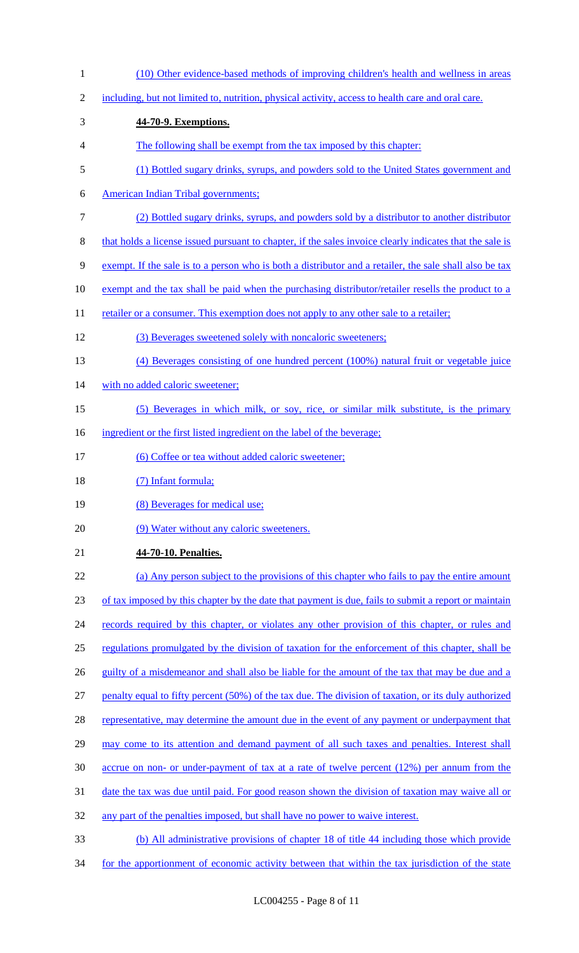| $\mathbf{1}$   | (10) Other evidence-based methods of improving children's health and wellness in areas                   |
|----------------|----------------------------------------------------------------------------------------------------------|
| $\overline{2}$ | including, but not limited to, nutrition, physical activity, access to health care and oral care.        |
| 3              | 44-70-9. Exemptions.                                                                                     |
| 4              | The following shall be exempt from the tax imposed by this chapter:                                      |
| 5              | (1) Bottled sugary drinks, syrups, and powders sold to the United States government and                  |
| 6              | <b>American Indian Tribal governments;</b>                                                               |
| 7              | (2) Bottled sugary drinks, syrups, and powders sold by a distributor to another distributor              |
| 8              | that holds a license issued pursuant to chapter, if the sales invoice clearly indicates that the sale is |
| 9              | exempt. If the sale is to a person who is both a distributor and a retailer, the sale shall also be tax  |
| 10             | exempt and the tax shall be paid when the purchasing distributor/retailer resells the product to a       |
| 11             | retailer or a consumer. This exemption does not apply to any other sale to a retailer;                   |
| 12             | (3) Beverages sweetened solely with noncaloric sweeteners;                                               |
| 13             | (4) Beverages consisting of one hundred percent (100%) natural fruit or vegetable juice                  |
| 14             | with no added caloric sweetener;                                                                         |
| 15             | (5) Beverages in which milk, or soy, rice, or similar milk substitute, is the primary                    |
| 16             | ingredient or the first listed ingredient on the label of the beverage;                                  |
| 17             | (6) Coffee or tea without added caloric sweetener;                                                       |
| 18             | (7) Infant formula;                                                                                      |
| 19             | (8) Beverages for medical use;                                                                           |
| 20             | (9) Water without any caloric sweeteners.                                                                |
| 21             | 44-70-10. Penalties.                                                                                     |
| 22             | (a) Any person subject to the provisions of this chapter who fails to pay the entire amount              |
| 23             | of tax imposed by this chapter by the date that payment is due, fails to submit a report or maintain     |
| 24             | records required by this chapter, or violates any other provision of this chapter, or rules and          |
| 25             | regulations promulgated by the division of taxation for the enforcement of this chapter, shall be        |
| 26             | guilty of a misdemeanor and shall also be liable for the amount of the tax that may be due and a         |
| 27             | penalty equal to fifty percent (50%) of the tax due. The division of taxation, or its duly authorized    |
| 28             | representative, may determine the amount due in the event of any payment or underpayment that            |
| 29             | may come to its attention and demand payment of all such taxes and penalties. Interest shall             |
| 30             | accrue on non- or under-payment of tax at a rate of twelve percent (12%) per annum from the              |
| 31             | date the tax was due until paid. For good reason shown the division of taxation may waive all or         |
| 32             | any part of the penalties imposed, but shall have no power to waive interest.                            |
| 33             | (b) All administrative provisions of chapter 18 of title 44 including those which provide                |
| 34             | for the apportionment of economic activity between that within the tax jurisdiction of the state         |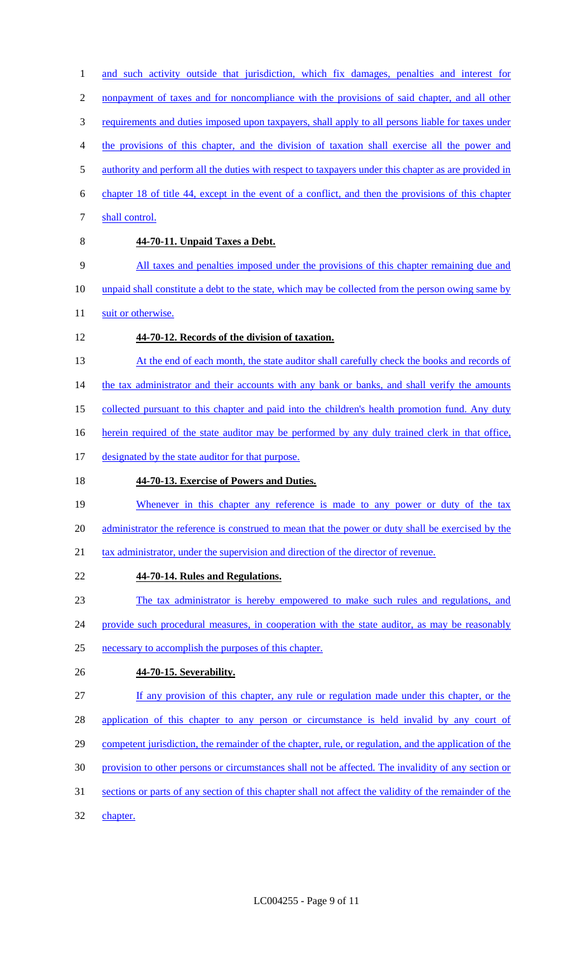1 and such activity outside that jurisdiction, which fix damages, penalties and interest for nonpayment of taxes and for noncompliance with the provisions of said chapter, and all other requirements and duties imposed upon taxpayers, shall apply to all persons liable for taxes under the provisions of this chapter, and the division of taxation shall exercise all the power and 5 authority and perform all the duties with respect to taxpayers under this chapter as are provided in chapter 18 of title 44, except in the event of a conflict, and then the provisions of this chapter 7 shall control. **44-70-11. Unpaid Taxes a Debt.** All taxes and penalties imposed under the provisions of this chapter remaining due and

10 unpaid shall constitute a debt to the state, which may be collected from the person owing same by 11 suit or otherwise.

- 12 **44-70-12. Records of the division of taxation.**
- 13 At the end of each month, the state auditor shall carefully check the books and records of 14 the tax administrator and their accounts with any bank or banks, and shall verify the amounts

15 collected pursuant to this chapter and paid into the children's health promotion fund. Any duty

16 herein required of the state auditor may be performed by any duly trained clerk in that office,

17 designated by the state auditor for that purpose.

### 18 **44-70-13. Exercise of Powers and Duties.**

19 Whenever in this chapter any reference is made to any power or duty of the tax 20 administrator the reference is construed to mean that the power or duty shall be exercised by the

21 tax administrator, under the supervision and direction of the director of revenue.

22 **44-70-14. Rules and Regulations.**

23 The tax administrator is hereby empowered to make such rules and regulations, and

24 provide such procedural measures, in cooperation with the state auditor, as may be reasonably

25 necessary to accomplish the purposes of this chapter.

26 **44-70-15. Severability.**

27 If any provision of this chapter, any rule or regulation made under this chapter, or the

28 application of this chapter to any person or circumstance is held invalid by any court of

- 29 competent jurisdiction, the remainder of the chapter, rule, or regulation, and the application of the
- 30 provision to other persons or circumstances shall not be affected. The invalidity of any section or
- 31 sections or parts of any section of this chapter shall not affect the validity of the remainder of the
- 32 chapter.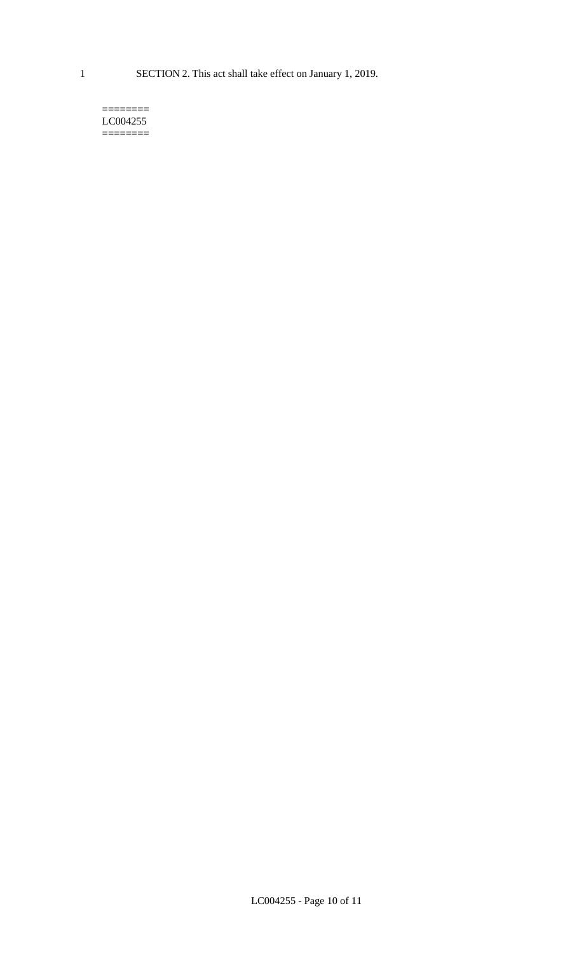1 SECTION 2. This act shall take effect on January 1, 2019.

#### $=$ LC004255 ========